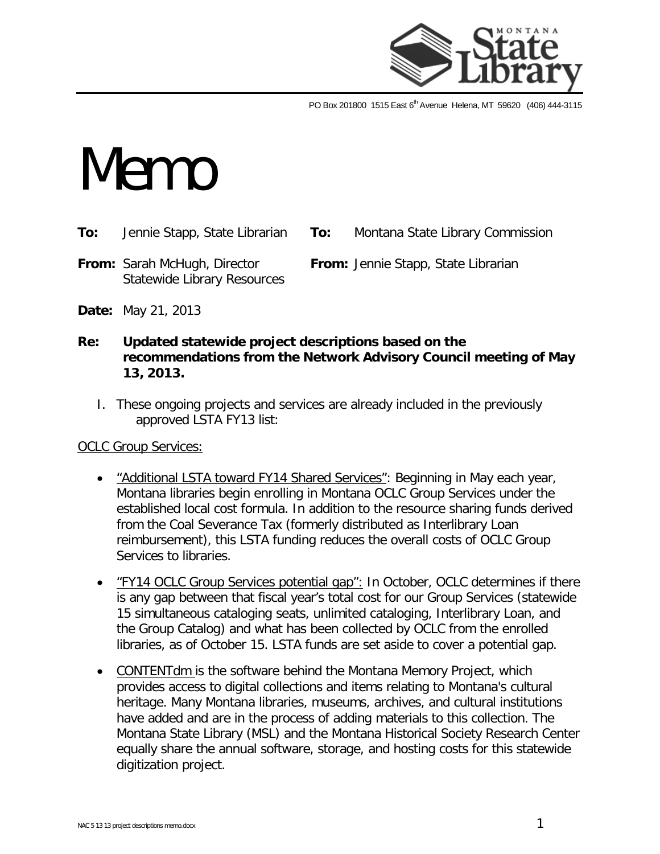

PO Box 201800 1515 East 6<sup>th</sup> Avenue Helena, MT 59620 (406) 444-3115

# **Memo**

- **To:** Jennie Stapp, State Librarian **To:** Montana State Library Commission
- **From:** Sarah McHugh, Director **From:** Jennie Stapp, State Librarian Statewide Library Resources

- **Date:** May 21, 2013
- **Re: Updated statewide project descriptions based on the recommendations from the Network Advisory Council meeting of May 13, 2013.**
	- I. These ongoing projects and services are already included in the previously approved LSTA FY13 list:

OCLC Group Services:

- "Additional LSTA toward FY14 Shared Services": Beginning in May each year, Montana libraries begin enrolling in Montana OCLC Group Services under the established local cost formula. In addition to the resource sharing funds derived from the Coal Severance Tax (formerly distributed as Interlibrary Loan reimbursement), this LSTA funding reduces the overall costs of OCLC Group Services to libraries.
- "FY14 OCLC Group Services potential gap": In October, OCLC determines if there is any gap between that fiscal year's total cost for our Group Services (statewide 15 simultaneous cataloging seats, unlimited cataloging, Interlibrary Loan, and the Group Catalog) and what has been collected by OCLC from the enrolled libraries, as of October 15. LSTA funds are set aside to cover a potential gap.
- CONTENTdm is the software behind the Montana Memory Project, which provides access to digital collections and items relating to Montana's cultural heritage. Many Montana libraries, museums, archives, and cultural institutions have added and are in the process of adding materials to this collection. The Montana State Library (MSL) and the Montana Historical Society Research Center equally share the annual software, storage, and hosting costs for this statewide digitization project.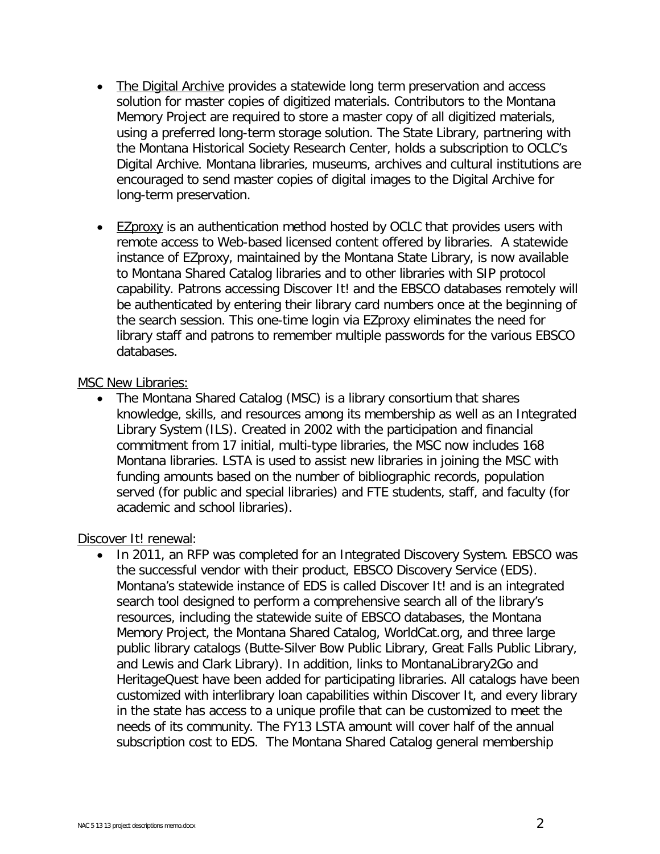- The Digital Archive provides a statewide long term preservation and access solution for master copies of digitized materials. Contributors to the Montana Memory Project are required to store a master copy of all digitized materials, using a preferred long-term storage solution. The State Library, partnering with the Montana Historical Society Research Center, holds a subscription to OCLC's Digital Archive. Montana libraries, museums, archives and cultural institutions are encouraged to send master copies of digital images to the Digital Archive for long-term preservation.
- EZproxy is an authentication method hosted by OCLC that provides users with remote access to Web-based licensed content offered by libraries. A statewide instance of EZproxy, maintained by the Montana State Library, is now available to Montana Shared Catalog libraries and to other libraries with SIP protocol capability. Patrons accessing Discover It! and the EBSCO databases remotely will be authenticated by entering their library card numbers once at the beginning of the search session. This one-time login via EZproxy eliminates the need for library staff and patrons to remember multiple passwords for the various EBSCO databases.

#### MSC New Libraries:

• The Montana Shared Catalog (MSC) is a library consortium that shares knowledge, skills, and resources among its membership as well as an Integrated Library System (ILS). Created in 2002 with the participation and financial commitment from 17 initial, multi-type libraries, the MSC now includes 168 Montana libraries. LSTA is used to assist new libraries in joining the MSC with funding amounts based on the number of bibliographic records, population served (for public and special libraries) and FTE students, staff, and faculty (for academic and school libraries).

### Discover It! renewal:

• In 2011, an RFP was completed for an Integrated Discovery System. EBSCO was the successful vendor with their product, EBSCO Discovery Service (EDS). Montana's statewide instance of EDS is called Discover It! and is an integrated search tool designed to perform a comprehensive search all of the library's resources, including the statewide suite of EBSCO databases, the Montana Memory Project, the Montana Shared Catalog, WorldCat.org, and three large public library catalogs (Butte-Silver Bow Public Library, Great Falls Public Library, and Lewis and Clark Library). In addition, links to MontanaLibrary2Go and HeritageQuest have been added for participating libraries. All catalogs have been customized with interlibrary loan capabilities within Discover It, and every library in the state has access to a unique profile that can be customized to meet the needs of its community. The FY13 LSTA amount will cover half of the annual subscription cost to EDS. The Montana Shared Catalog general membership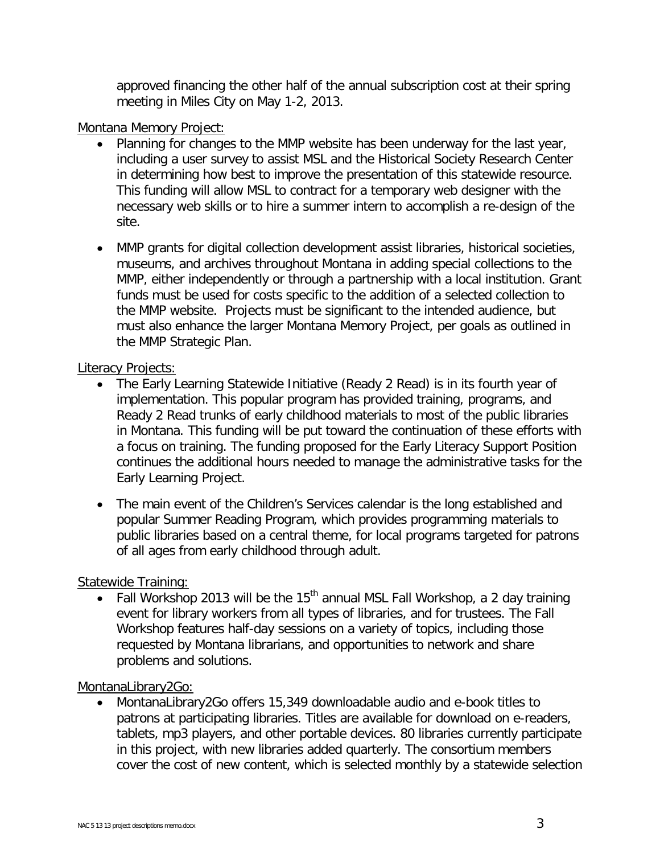approved financing the other half of the annual subscription cost at their spring meeting in Miles City on May 1-2, 2013.

## Montana Memory Project:

- Planning for changes to the MMP website has been underway for the last year, including a user survey to assist MSL and the Historical Society Research Center in determining how best to improve the presentation of this statewide resource. This funding will allow MSL to contract for a temporary web designer with the necessary web skills or to hire a summer intern to accomplish a re-design of the site.
- MMP grants for digital collection development assist libraries, historical societies, museums, and archives throughout Montana in adding special collections to the MMP, either independently or through a partnership with a local institution. Grant funds must be used for costs specific to the addition of a selected collection to the MMP website. Projects must be significant to the intended audience, but must also enhance the larger Montana Memory Project, per goals as outlined in the MMP Strategic Plan.

# Literacy Projects:

- The Early Learning Statewide Initiative (Ready 2 Read) is in its fourth year of implementation. This popular program has provided training, programs, and Ready 2 Read trunks of early childhood materials to most of the public libraries in Montana. This funding will be put toward the continuation of these efforts with a focus on training. The funding proposed for the Early Literacy Support Position continues the additional hours needed to manage the administrative tasks for the Early Learning Project.
- The main event of the Children's Services calendar is the long established and popular Summer Reading Program, which provides programming materials to public libraries based on a central theme, for local programs targeted for patrons of all ages from early childhood through adult.

# Statewide Training:

• Fall Workshop 2013 will be the 15<sup>th</sup> annual MSL Fall Workshop, a 2 day training event for library workers from all types of libraries, and for trustees. The Fall Workshop features half-day sessions on a variety of topics, including those requested by Montana librarians, and opportunities to network and share problems and solutions.

# MontanaLibrary2Go:

• MontanaLibrary2Go offers 15,349 downloadable audio and e-book titles to patrons at participating libraries. Titles are available for download on e-readers, tablets, mp3 players, and other portable devices. 80 libraries currently participate in this project, with new libraries added quarterly. The consortium members cover the cost of new content, which is selected monthly by a statewide selection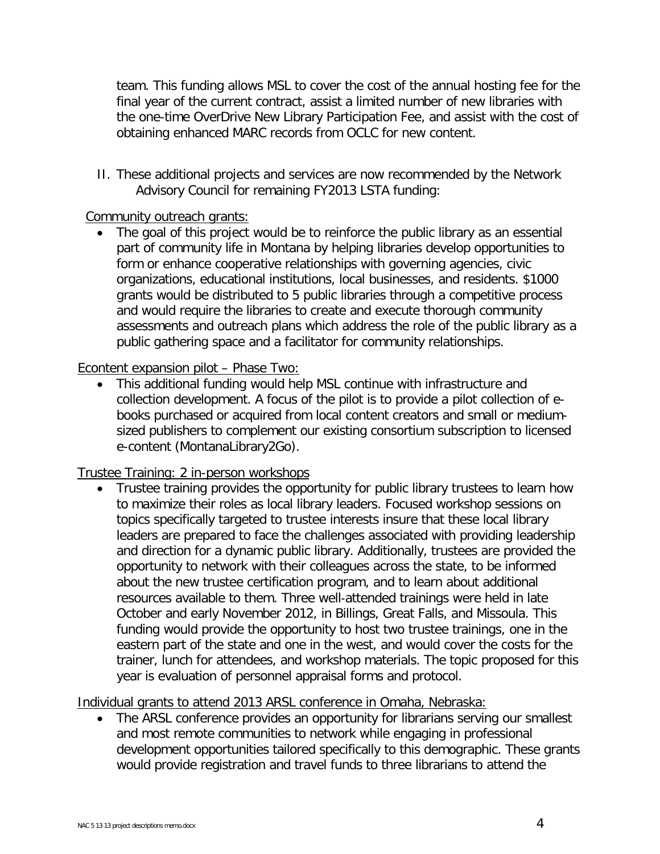team. This funding allows MSL to cover the cost of the annual hosting fee for the final year of the current contract, assist a limited number of new libraries with the one-time OverDrive New Library Participation Fee, and assist with the cost of obtaining enhanced MARC records from OCLC for new content.

II. These additional projects and services are now recommended by the Network Advisory Council for remaining FY2013 LSTA funding:

# Community outreach grants:

• The goal of this project would be to reinforce the public library as an essential part of community life in Montana by helping libraries develop opportunities to form or enhance cooperative relationships with governing agencies, civic organizations, educational institutions, local businesses, and residents. \$1000 grants would be distributed to 5 public libraries through a competitive process and would require the libraries to create and execute thorough community assessments and outreach plans which address the role of the public library as a public gathering space and a facilitator for community relationships.

# Econtent expansion pilot – Phase Two:

• This additional funding would help MSL continue with infrastructure and collection development. A focus of the pilot is to provide a pilot collection of ebooks purchased or acquired from local content creators and small or mediumsized publishers to complement our existing consortium subscription to licensed e-content (MontanaLibrary2Go).

### Trustee Training: 2 in-person workshops

• Trustee training provides the opportunity for public library trustees to learn how to maximize their roles as local library leaders. Focused workshop sessions on topics specifically targeted to trustee interests insure that these local library leaders are prepared to face the challenges associated with providing leadership and direction for a dynamic public library. Additionally, trustees are provided the opportunity to network with their colleagues across the state, to be informed about the new trustee certification program, and to learn about additional resources available to them. Three well‐attended trainings were held in late October and early November 2012, in Billings, Great Falls, and Missoula. This funding would provide the opportunity to host two trustee trainings, one in the eastern part of the state and one in the west, and would cover the costs for the trainer, lunch for attendees, and workshop materials. The topic proposed for this year is evaluation of personnel appraisal forms and protocol.

### Individual grants to attend 2013 ARSL conference in Omaha, Nebraska:

• The ARSL conference provides an opportunity for librarians serving our smallest and most remote communities to network while engaging in professional development opportunities tailored specifically to this demographic. These grants would provide registration and travel funds to three librarians to attend the